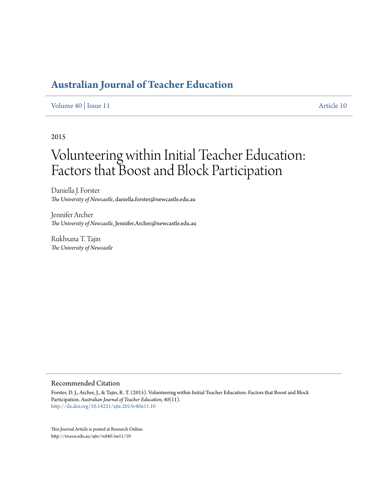## **[Australian Journal of Teacher Education](http://ro.ecu.edu.au/ajte)**

#### [Volume 40](http://ro.ecu.edu.au/ajte/vol40) | [Issue 11](http://ro.ecu.edu.au/ajte/vol40/iss11) [Article 10](http://ro.ecu.edu.au/ajte/vol40/iss11/10)

## 2015

# Volunteering within Initial Teacher Education: Factors that Boost and Block Participation

Daniella J. Forster *The University of Newcastle*, daniella.forster@newcastle.edu.au

Jennifer Archer *The University of Newcastle*, Jennifer.Archer@newcastle.edu.au

Rukhsana T. Tajin *The University of Newcastle*

#### Recommended Citation

Forster, D. J., Archer, J., & Tajin, R. T. (2015). Volunteering within Initial Teacher Education: Factors that Boost and Block Participation. *Australian Journal of Teacher Education, 40*(11). <http://dx.doi.org/10.14221/ajte.2015v40n11.10>

This Journal Article is posted at Research Online. http://ro.ecu.edu.au/ajte/vol40/iss11/10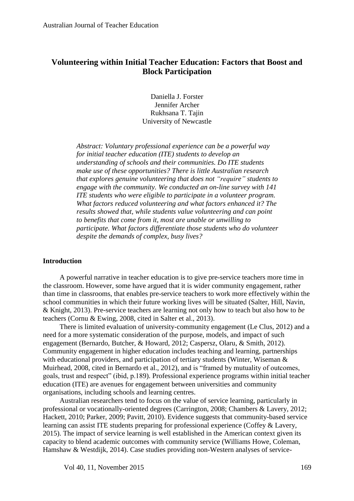## **Volunteering within Initial Teacher Education: Factors that Boost and Block Participation**

Daniella J. Forster Jennifer Archer Rukhsana T. Tajin University of Newcastle

*Abstract: Voluntary professional experience can be a powerful way for initial teacher education (ITE) students to develop an understanding of schools and their communities. Do ITE students make use of these opportunities? There is little Australian research that explores genuine volunteering that does not "require" students to engage with the community. We conducted an on-line survey with 141 ITE students who were eligible to participate in a volunteer program. What factors reduced volunteering and what factors enhanced it? The results showed that, while students value volunteering and can point to benefits that come from it, most are unable or unwilling to participate. What factors differentiate those students who do volunteer despite the demands of complex, busy lives?*

## **Introduction**

A powerful narrative in teacher education is to give pre-service teachers more time in the classroom. However, some have argued that it is wider community engagement, rather than time in classrooms, that enables pre-service teachers to work more effectively within the school communities in which their future working lives will be situated [\(Salter, Hill, Navin,](#page-15-0)  [& Knight, 2013\)](#page-15-0). Pre-service teachers are learning not only how to teach but also how to *be* teachers (Cornu & Ewing, 2008, cited in Salter et al., 2013).

There is limited evaluation of university-community engagement [\(Le Clus, 2012\)](#page-15-1) and a need for a more systematic consideration of the purpose, models, and impact of such engagement [\(Bernardo, Butcher, & Howard, 2012;](#page-14-0) [Caspersz, Olaru, & Smith, 2012\)](#page-14-1). Community engagement in higher education includes teaching and learning, partnerships with educational providers, and participation of tertiary students (Winter, Wiseman & Muirhead, 2008, cited in Bernardo et al., 2012), and is "framed by mutuality of outcomes, goals, trust and respect" (ibid, p.189). Professional experience programs within initial teacher education (ITE) are avenues for engagement between universities and community organisations, including schools and learning centres.

Australian researchers tend to focus on the value of service learning, particularly in professional or vocationally-oriented degrees [\(Carrington, 2008;](#page-14-2) [Chambers & Lavery, 2012;](#page-14-3) [Hackett, 2010;](#page-15-2) [Parker, 2009;](#page-15-3) [Pavitt, 2010\)](#page-15-4). Evidence suggests that community-based service learning can assist ITE students preparing for professional experience (Coffey & Lavery, 2015). The impact of service learning is well established in the American context given its capacity to blend academic outcomes with community service (Williams Howe, Coleman, Hamshaw & Westdijk, 2014). Case studies providing non-Western analyses of service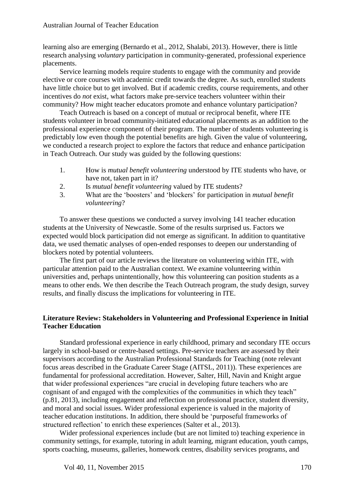learning also are emerging (Bernardo et al., 2012, Shalabi, 2013). However, there is little research analysing *voluntary* participation in community-generated, professional experience placements.

Service learning models require students to engage with the community and provide elective or core courses with academic credit towards the degree. As such, enrolled students have little choice but to get involved. But if academic credits, course requirements, and other incentives do *not* exist, what factors make pre-service teachers volunteer within their community? How might teacher educators promote and enhance voluntary participation?

Teach Outreach is based on a concept of mutual or reciprocal benefit, where ITE students volunteer in broad community-initiated educational placements as an addition to the professional experience component of their program. The number of students volunteering is predictably low even though the potential benefits are high. Given the value of volunteering, we conducted a research project to explore the factors that reduce and enhance participation in Teach Outreach. Our study was guided by the following questions:

- 1. How is *mutual benefit volunteering* understood by ITE students who have, or have not, taken part in it?
- 2. Is *mutual benefit volunteering* valued by ITE students?
- 3. What are the 'boosters' and 'blockers' for participation in *mutual benefit volunteering*?

To answer these questions we conducted a survey involving 141 teacher education students at the University of Newcastle. Some of the results surprised us. Factors we expected would block participation did not emerge as significant. In addition to quantitative data, we used thematic analyses of open-ended responses to deepen our understanding of blockers noted by potential volunteers.

The first part of our article reviews the literature on volunteering within ITE, with particular attention paid to the Australian context. We examine volunteering within universities and, perhaps unintentionally, how this volunteering can position students as a means to other ends. We then describe the Teach Outreach program, the study design, survey results, and finally discuss the implications for volunteering in ITE.

## **Literature Review: Stakeholders in Volunteering and Professional Experience in Initial Teacher Education**

Standard professional experience in early childhood, primary and secondary ITE occurs largely in school-based or centre-based settings. Pre-service teachers are assessed by their supervisors according to the Australian Professional Standards for Teaching (note relevant focus areas described in the Graduate Career Stage (AITSL, 2011)). These experiences are fundamental for professional accreditation. However, Salter, Hill, Navin and Knight argue that wider professional experiences "are crucial in developing future teachers who are cognisant of and engaged with the complexities of the communities in which they teach" (p.81, 2013), including engagement and reflection on professional practice, student diversity, and moral and social issues. Wider professional experience is valued in the majority of teacher education institutions. In addition, there should be 'purposeful frameworks of structured reflection' to enrich these experiences [\(Salter et al., 2013\)](#page-15-0).

Wider professional experiences include (but are not limited to) teaching experience in community settings, for example, tutoring in adult learning, migrant education, youth camps, sports coaching, museums, galleries, homework centres, disability services programs, and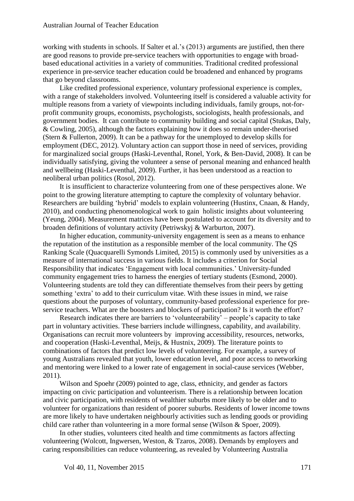working with students in schools. If Salter et al.'s (2013) arguments are justified, then there are good reasons to provide pre-service teachers with opportunities to engage with broadbased educational activities in a variety of communities. Traditional credited professional experience in pre-service teacher education could be broadened and enhanced by programs that go beyond classrooms.

Like credited professional experience, voluntary professional experience is complex, with a range of stakeholders involved. Volunteering itself is considered a valuable activity for multiple reasons from a variety of viewpoints including individuals, family groups, not-forprofit community groups, economists, psychologists, sociologists, health professionals, and government bodies. It can contribute to community building and social capital [\(Stukas, Daly,](#page-16-0)  [& Cowling, 2005\)](#page-16-0), although the factors explaining how it does so remain under-theorised [\(Stern & Fullerton, 2009\)](#page-16-1). It can be a pathway for the unemployed to develop skills for employment [\(DEC, 2012\)](#page-14-4). Voluntary action can support those in need of services, providing for marginalized social groups [\(Haski-Leventhal, Ronel, York, & Ben-David, 2008\)](#page-15-5). It can be individually satisfying, giving the volunteer a sense of personal meaning and enhanced health and wellbeing [\(Haski-Leventhal, 2009\)](#page-15-6). Further, it has been understood as a reaction to neoliberal urban politics [\(Rosol, 2012\)](#page-15-7).

It is insufficient to characterize volunteering from one of these perspectives alone. We point to the growing literature attempting to capture the complexity of voluntary behavior. Researchers are building 'hybrid' models to explain volunteering [\(Hustinx, Cnaan, & Handy,](#page-15-8)  [2010\)](#page-15-8), and conducting phenomenological work to gain holistic insights about volunteering [\(Yeung, 2004\)](#page-16-2). Measurement matrices have been postulated to account for its diversity and to broaden definitions of voluntary activity [\(Petriwskyj & Warburton, 2007\)](#page-15-9).

In higher education, community-university engagement is seen as a means to enhance the reputation of the institution as a responsible member of the local community. The QS Ranking Scale (Quacquarelli Symonds Limited, 2015) is commonly used by universities as a measure of international success in various fields. It includes a criterion for Social Responsibility that indicates 'Engagement with local communities.' University-funded community engagement tries to harness the energies of tertiary students [\(Esmond, 2000\)](#page-14-5). Volunteering students are told they can differentiate themselves from their peers by getting something 'extra' to add to their curriculum vitae. With these issues in mind, we raise questions about the purposes of voluntary, community-based professional experience for preservice teachers. What are the boosters and blockers of participation? Is it worth the effort?

Research indicates there are barriers to 'volunteerability' – people's capacity to take part in voluntary activities. These barriers include willingness, capability, and availability. Organisations can recruit more volunteers by improving accessibility, resources, networks, and cooperation [\(Haski-Leventhal, Meijs, & Hustnix, 2009\)](#page-15-10). The literature points to combinations of factors that predict low levels of volunteering. For example, a survey of young Australians revealed that youth, lower education level, and poor access to networking and mentoring were linked to a lower rate of engagement in social-cause services [\(Webber,](#page-16-3)  [2011\)](#page-16-3).

Wilson and Spoehr [\(2009\)](#page-16-4) pointed to age, class, ethnicity, and gender as factors impacting on civic participation and volunteerism. There is a relationship between location and civic participation, with residents of wealthier suburbs more likely to be older and to volunteer for organizations than resident of poorer suburbs. Residents of lower income towns are more likely to have undertaken neighbourly activities such as lending goods or providing child care rather than volunteering in a more formal sense (Wilson & Spoer, 2009).

In other studies, volunteers cited health and time commitments as factors affecting volunteering [\(Wolcott, Ingwersen, Weston, & Tzaros, 2008\)](#page-16-5). Demands by employers and caring responsibilities can reduce volunteering, as revealed by Volunteering Australia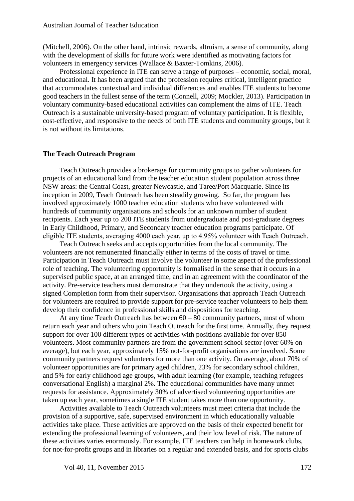[\(Mitchell, 2006\)](#page-15-11). On the other hand, intrinsic rewards, altruism, a sense of community, along with the development of skills for future work were identified as motivating factors for volunteers in emergency services [\(Wallace & Baxter-Tomkins, 2006\)](#page-16-6).

Professional experience in ITE can serve a range of purposes – economic, social, moral, and educational. It has been argued that the profession requires critical, intelligent practice that accommodates contextual and individual differences and enables ITE students to become good teachers in the fullest sense of the term [\(Connell, 2009;](#page-14-6) [Mockler, 2013\)](#page-15-12). Participation in voluntary community-based educational activities can complement the aims of ITE. Teach Outreach is a sustainable university-based program of voluntary participation. It is flexible, cost-effective, and responsive to the needs of both ITE students and community groups, but it is not without its limitations.

#### **The Teach Outreach Program**

Teach Outreach provides a brokerage for community groups to gather volunteers for projects of an educational kind from the teacher education student population across three NSW areas: the Central Coast, greater Newcastle, and Taree/Port Macquarie. Since its inception in 2009, Teach Outreach has been steadily growing. So far, the program has involved approximately 1000 teacher education students who have volunteered with hundreds of community organisations and schools for an unknown number of student recipients. Each year up to 200 ITE students from undergraduate and post-graduate degrees in Early Childhood, Primary, and Secondary teacher education programs participate. Of eligible ITE students, averaging 4000 each year, up to 4.95% volunteer with Teach Outreach.

Teach Outreach seeks and accepts opportunities from the local community. The volunteers are not remunerated financially either in terms of the costs of travel or time. Participation in Teach Outreach must involve the volunteer in some aspect of the professional role of teaching. The volunteering opportunity is formalised in the sense that it occurs in a supervised public space, at an arranged time, and in an agreement with the coordinator of the activity. Pre-service teachers must demonstrate that they undertook the activity, using a signed Completion form from their supervisor. Organisations that approach Teach Outreach for volunteers are required to provide support for pre-service teacher volunteers to help them develop their confidence in professional skills and dispositions for teaching.

At any time Teach Outreach has between 60 – 80 community partners, most of whom return each year and others who join Teach Outreach for the first time. Annually, they request support for over 100 different types of activities with positions available for over 850 volunteers. Most community partners are from the government school sector (over 60% on average), but each year, approximately 15% not-for-profit organisations are involved. Some community partners request volunteers for more than one activity. On average, about 70% of volunteer opportunities are for primary aged children, 23% for secondary school children, and 5% for early childhood age groups, with adult learning (for example, teaching refugees conversational English) a marginal 2%. The educational communities have many unmet requests for assistance. Approximately 30% of advertised volunteering opportunities are taken up each year, sometimes a single ITE student takes more than one opportunity.

Activities available to Teach Outreach volunteers must meet criteria that include the provision of a supportive, safe, supervised environment in which educationally valuable activities take place. These activities are approved on the basis of their expected benefit for extending the professional learning of volunteers, and their low level of risk. The nature of these activities varies enormously. For example, ITE teachers can help in homework clubs, for not-for-profit groups and in libraries on a regular and extended basis, and for sports clubs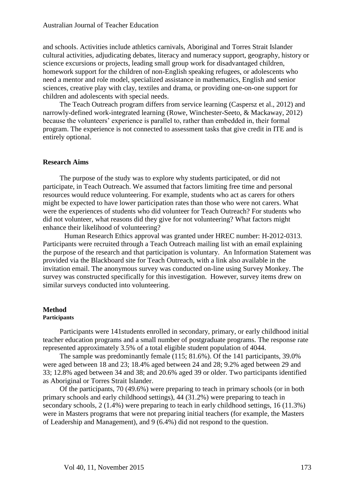#### Australian Journal of Teacher Education

and schools. Activities include athletics carnivals, Aboriginal and Torres Strait Islander cultural activities, adjudicating debates, literacy and numeracy support, geography, history or science excursions or projects, leading small group work for disadvantaged children, homework support for the children of non-English speaking refugees, or adolescents who need a mentor and role model, specialized assistance in mathematics, English and senior sciences, creative play with clay, textiles and drama, or providing one-on-one support for children and adolescents with special needs.

The Teach Outreach program differs from service learning [\(Caspersz et al., 2012\)](#page-14-1) and narrowly-defined work-integrated learning [\(Rowe, Winchester-Seeto, & Mackaway, 2012\)](#page-15-13) because the volunteers' experience is parallel to, rather than embedded in, their formal program. The experience is not connected to assessment tasks that give credit in ITE and is entirely optional.

#### **Research Aims**

The purpose of the study was to explore why students participated, or did not participate, in Teach Outreach. We assumed that factors limiting free time and personal resources would reduce volunteering. For example, students who act as carers for others might be expected to have lower participation rates than those who were not carers. What were the experiences of students who did volunteer for Teach Outreach? For students who did not volunteer, what reasons did they give for not volunteering? What factors might enhance their likelihood of volunteering?

Human Research Ethics approval was granted under HREC number: H-2012-0313. Participants were recruited through a Teach Outreach mailing list with an email explaining the purpose of the research and that participation is voluntary. An Information Statement was provided via the Blackboard site for Teach Outreach, with a link also available in the invitation email. The anonymous survey was conducted on-line using Survey Monkey. The survey was constructed specifically for this investigation. However, survey items drew on similar surveys conducted into volunteering.

#### **Method**

#### **Participants**

Participants were 141students enrolled in secondary, primary, or early childhood initial teacher education programs and a small number of postgraduate programs. The response rate represented approximately 3.5% of a total eligible student population of 4044.

The sample was predominantly female (115; 81.6%). Of the 141 participants, 39.0% were aged between 18 and 23; 18.4% aged between 24 and 28; 9.2% aged between 29 and 33; 12.8% aged between 34 and 38; and 20.6% aged 39 or older. Two participants identified as Aboriginal or Torres Strait Islander.

Of the participants, 70 (49.6%) were preparing to teach in primary schools (or in both primary schools and early childhood settings), 44 (31.2%) were preparing to teach in secondary schools, 2 (1.4%) were preparing to teach in early childhood settings, 16 (11.3%) were in Masters programs that were not preparing initial teachers (for example, the Masters of Leadership and Management), and 9 (6.4%) did not respond to the question.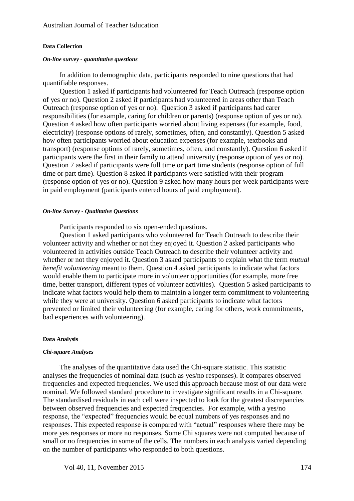#### **Data Collection**

#### *On-line survey - quantitative questions*

In addition to demographic data, participants responded to nine questions that had quantifiable responses.

Question 1 asked if participants had volunteered for Teach Outreach (response option of yes or no). Question 2 asked if participants had volunteered in areas other than Teach Outreach (response option of yes or no). Question 3 asked if participants had carer responsibilities (for example, caring for children or parents) (response option of yes or no). Question 4 asked how often participants worried about living expenses (for example, food, electricity) (response options of rarely, sometimes, often, and constantly). Question 5 asked how often participants worried about education expenses (for example, textbooks and transport) (response options of rarely, sometimes, often, and constantly). Question 6 asked if participants were the first in their family to attend university (response option of yes or no). Question 7 asked if participants were full time or part time students (response option of full time or part time). Question 8 asked if participants were satisfied with their program (response option of yes or no). Question 9 asked how many hours per week participants were in paid employment (participants entered hours of paid employment).

#### *On-line Survey - Qualitative Questions*

Participants responded to six open-ended questions.

Question 1 asked participants who volunteered for Teach Outreach to describe their volunteer activity and whether or not they enjoyed it. Question 2 asked participants who volunteered in activities outside Teach Outreach to describe their volunteer activity and whether or not they enjoyed it. Question 3 asked participants to explain what the term *mutual benefit volunteering* meant to them. Question 4 asked participants to indicate what factors would enable them to participate more in volunteer opportunities (for example, more free time, better transport, different types of volunteer activities). Question 5 asked participants to indicate what factors would help them to maintain a longer term commitment to volunteering while they were at university. Question 6 asked participants to indicate what factors prevented or limited their volunteering (for example, caring for others, work commitments, bad experiences with volunteering).

#### **Data Analysis**

#### *Chi-square Analyses*

The analyses of the quantitative data used the Chi-square statistic. This statistic analyses the frequencies of nominal data (such as yes/no responses). It compares observed frequencies and expected frequencies. We used this approach because most of our data were nominal. We followed standard procedure to investigate significant results in a Chi-square. The standardised residuals in each cell were inspected to look for the greatest discrepancies between observed frequencies and expected frequencies. For example, with a yes/no response, the "expected" frequencies would be equal numbers of yes responses and no responses. This expected response is compared with "actual" responses where there may be more yes responses or more no responses. Some Chi squares were not computed because of small or no frequencies in some of the cells. The numbers in each analysis varied depending on the number of participants who responded to both questions.

Vol 40, 11, November 2015 174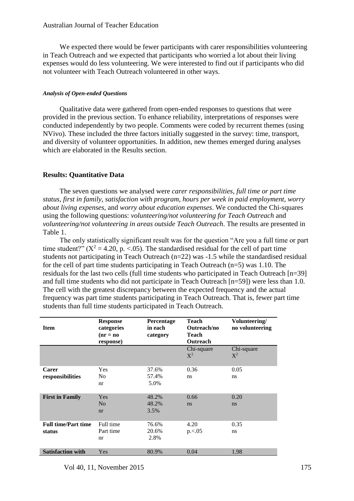We expected there would be fewer participants with carer responsibilities volunteering in Teach Outreach and we expected that participants who worried a lot about their living expenses would do less volunteering. We were interested to find out if participants who did not volunteer with Teach Outreach volunteered in other ways.

## *Analysis of Open-ended Questions*

Qualitative data were gathered from open-ended responses to questions that were provided in the previous section. To enhance reliability, interpretations of responses were conducted independently by two people. Comments were coded by recurrent themes (using NVivo). These included the three factors initially suggested in the survey: time, transport, and diversity of volunteer opportunities. In addition, new themes emerged during analyses which are elaborated in the Results section.

## **Results: Quantitative Data**

The seven questions we analysed were *carer responsibilities*, *full time or part time status*, *first in family, satisfaction with program, hours per week in paid employment*, *worry about living expenses,* and *worry about education expenses*. We conducted the Chi-squares using the following questions: *volunteering/not volunteering for Teach Outreach* and *volunteering/not volunteering in areas outside Teach Outreach*. The results are presented in Table 1.

The only statistically significant result was for the question "Are you a full time or part time student?" ( $X^2 = 4.20$ , p. <.05). The standardised residual for the cell of part time students not participating in Teach Outreach (n=22) was -1.5 while the standardised residual for the cell of part time students participating in Teach Outreach  $(n=5)$  was 1.10. The residuals for the last two cells (full time students who participated in Teach Outreach [n=39] and full time students who did not participate in Teach Outreach [n=59]) were less than 1.0. The cell with the greatest discrepancy between the expected frequency and the actual frequency was part time students participating in Teach Outreach. That is, fewer part time students than full time students participated in Teach Outreach.

| <b>Item</b>                | <b>Response</b><br>categories<br>$(nr = no$<br>response) | <b>Percentage</b><br>in each<br>category | Teach<br>Outreach/no<br>Teach<br><b>Outreach</b> | Volunteering/<br>no volunteering |
|----------------------------|----------------------------------------------------------|------------------------------------------|--------------------------------------------------|----------------------------------|
|                            |                                                          |                                          | Chi-square<br>$X^2$                              | Chi-square<br>$X^2$              |
| <b>Carer</b>               | Yes                                                      | 37.6%                                    | 0.36                                             | 0.05                             |
| responsibilities           | N <sub>0</sub>                                           | 57.4%                                    | ns                                               | ns                               |
|                            | nr                                                       | 5.0%                                     |                                                  |                                  |
| <b>First in Family</b>     | Yes                                                      | 48.2%                                    | 0.66                                             | 0.20                             |
|                            | N <sub>o</sub>                                           | 48.2%                                    | <sub>ns</sub>                                    | ns                               |
|                            | nr                                                       | 3.5%                                     |                                                  |                                  |
| <b>Full time/Part time</b> | Full time                                                | 76.6%                                    | 4.20                                             | 0.35                             |
| status                     | Part time                                                | 20.6%                                    | p < 0.05                                         | ns                               |
|                            | nr                                                       | 2.8%                                     |                                                  |                                  |
| <b>Satisfaction with</b>   | Yes                                                      | 80.9%                                    | 0.04                                             | 1.98                             |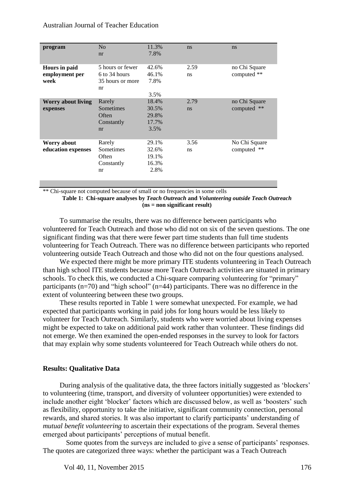| 7.8%<br>nr<br>5 hours or fewer<br>Hours in paid<br>42.6%<br>2.59<br>no Chi Square<br>computed **<br>6 to 34 hours<br>employment per<br>46.1%<br>ns<br>7.8%<br>35 hours or more<br>week<br>nr<br>3.5%<br>18.4%<br>Rarely<br>2.79<br>no Chi Square<br>Worry about living<br>**<br>Sometimes<br>30.5%<br>computed<br>ns<br>expenses<br>Often<br>29.8%<br>17.7%<br>Constantly<br>3.5%<br>nr<br>29.1%<br>3.56<br>No Chi Square<br>Rarely<br>Worry about<br>computed **<br>Sometimes<br>32.6%<br>education expenses<br>ns<br>Often<br>19.1%<br>16.3%<br>Constantly<br>2.8%<br>nr | program | N <sub>o</sub> | 11.3% | ns | ns |
|----------------------------------------------------------------------------------------------------------------------------------------------------------------------------------------------------------------------------------------------------------------------------------------------------------------------------------------------------------------------------------------------------------------------------------------------------------------------------------------------------------------------------------------------------------------------------|---------|----------------|-------|----|----|
|                                                                                                                                                                                                                                                                                                                                                                                                                                                                                                                                                                            |         |                |       |    |    |
|                                                                                                                                                                                                                                                                                                                                                                                                                                                                                                                                                                            |         |                |       |    |    |
|                                                                                                                                                                                                                                                                                                                                                                                                                                                                                                                                                                            |         |                |       |    |    |
|                                                                                                                                                                                                                                                                                                                                                                                                                                                                                                                                                                            |         |                |       |    |    |
|                                                                                                                                                                                                                                                                                                                                                                                                                                                                                                                                                                            |         |                |       |    |    |
|                                                                                                                                                                                                                                                                                                                                                                                                                                                                                                                                                                            |         |                |       |    |    |
|                                                                                                                                                                                                                                                                                                                                                                                                                                                                                                                                                                            |         |                |       |    |    |
|                                                                                                                                                                                                                                                                                                                                                                                                                                                                                                                                                                            |         |                |       |    |    |
|                                                                                                                                                                                                                                                                                                                                                                                                                                                                                                                                                                            |         |                |       |    |    |
|                                                                                                                                                                                                                                                                                                                                                                                                                                                                                                                                                                            |         |                |       |    |    |
|                                                                                                                                                                                                                                                                                                                                                                                                                                                                                                                                                                            |         |                |       |    |    |
|                                                                                                                                                                                                                                                                                                                                                                                                                                                                                                                                                                            |         |                |       |    |    |
|                                                                                                                                                                                                                                                                                                                                                                                                                                                                                                                                                                            |         |                |       |    |    |
|                                                                                                                                                                                                                                                                                                                                                                                                                                                                                                                                                                            |         |                |       |    |    |
|                                                                                                                                                                                                                                                                                                                                                                                                                                                                                                                                                                            |         |                |       |    |    |
|                                                                                                                                                                                                                                                                                                                                                                                                                                                                                                                                                                            |         |                |       |    |    |
|                                                                                                                                                                                                                                                                                                                                                                                                                                                                                                                                                                            |         |                |       |    |    |
|                                                                                                                                                                                                                                                                                                                                                                                                                                                                                                                                                                            |         |                |       |    |    |

\*\* Chi-square not computed because of small or no frequencies in some cells

**Table 1: Chi-square analyses by** *Teach Outreach* **and** *Volunteering outside Teach Outreach* **(ns = non significant result)**

To summarise the results, there was no difference between participants who volunteered for Teach Outreach and those who did not on six of the seven questions. The one significant finding was that there were fewer part time students than full time students volunteering for Teach Outreach. There was no difference between participants who reported volunteering outside Teach Outreach and those who did not on the four questions analysed.

We expected there might be more primary ITE students volunteering in Teach Outreach than high school ITE students because more Teach Outreach activities are situated in primary schools. To check this, we conducted a Chi-square comparing volunteering for "primary" participants (n=70) and "high school" (n=44) participants. There was no difference in the extent of volunteering between these two groups.

These results reported in Table 1 were somewhat unexpected. For example, we had expected that participants working in paid jobs for long hours would be less likely to volunteer for Teach Outreach. Similarly, students who were worried about living expenses might be expected to take on additional paid work rather than volunteer. These findings did not emerge. We then examined the open-ended responses in the survey to look for factors that may explain why some students volunteered for Teach Outreach while others do not.

## **Results: Qualitative Data**

During analysis of the qualitative data, the three factors initially suggested as 'blockers' to volunteering (time, transport, and diversity of volunteer opportunities) were extended to include another eight 'blocker' factors which are discussed below, as well as 'boosters' such as flexibility, opportunity to take the initiative, significant community connection, personal rewards, and shared stories. It was also important to clarify participants' understanding of *mutual benefit volunteering* to ascertain their expectations of the program. Several themes emerged about participants' perceptions of mutual benefit.

Some quotes from the surveys are included to give a sense of participants' responses. The quotes are categorized three ways: whether the participant was a Teach Outreach

Vol 40, 11, November 2015 176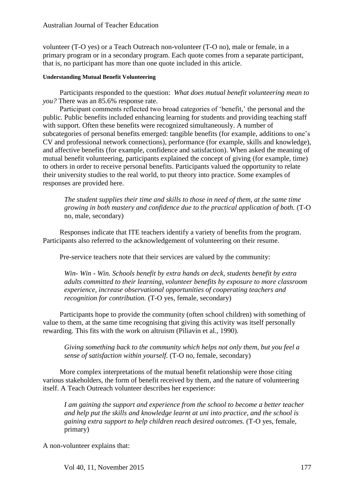volunteer (T-O yes) or a Teach Outreach non-volunteer (T-O no), male or female, in a primary program or in a secondary program. Each quote comes from a separate participant, that is, no participant has more than one quote included in this article.

### **Understanding Mutual Benefit Volunteering**

Participants responded to the question: *What does mutual benefit volunteering mean to you?* There was an 85.6% response rate.

Participant comments reflected two broad categories of 'benefit,' the personal and the public. Public benefits included enhancing learning for students and providing teaching staff with support. Often these benefits were recognized simultaneously. A number of subcategories of personal benefits emerged: tangible benefits (for example, additions to one's CV and professional network connections), performance (for example, skills and knowledge), and affective benefits (for example, confidence and satisfaction). When asked the meaning of mutual benefit volunteering, participants explained the concept of giving (for example, time) to others in order to receive personal benefits. Participants valued the opportunity to relate their university studies to the real world, to put theory into practice. Some examples of responses are provided here.

*The student supplies their time and skills to those in need of them, at the same time growing in both mastery and confidence due to the practical application of both.* (T-O no, male, secondary)

Responses indicate that ITE teachers identify a variety of benefits from the program. Participants also referred to the acknowledgement of volunteering on their resume.

Pre-service teachers note that their services are valued by the community:

*Win- Win - Win. Schools benefit by extra hands on deck, students benefit by extra adults committed to their learning, volunteer benefits by exposure to more classroom experience, increase observational opportunities of cooperating teachers and recognition for contribution.* (T-O yes, female, secondary)

Participants hope to provide the community (often school children) with something of value to them, at the same time recognising that giving this activity was itself personally rewarding. This fits with the work on altruism (Piliavin et al., 1990).

*Giving something back to the community which helps not only them, but you feel a sense of satisfaction within yourself.* (T-O no, female, secondary)

More complex interpretations of the mutual benefit relationship were those citing various stakeholders, the form of benefit received by them, and the nature of volunteering itself. A Teach Outreach volunteer describes her experience:

*I am gaining the support and experience from the school to become a better teacher and help put the skills and knowledge learnt at uni into practice, and the school is gaining extra support to help children reach desired outcomes.* (T-O yes, female, primary)

A non-volunteer explains that:

Vol 40, 11, November 2015 177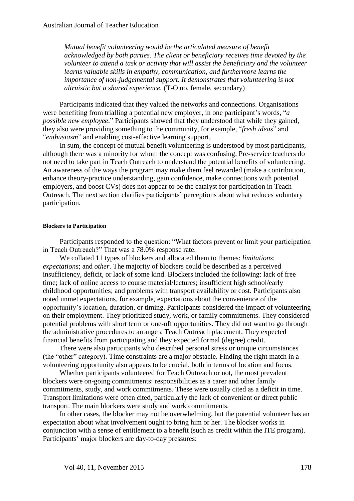*Mutual benefit volunteering would be the articulated measure of benefit acknowledged by both parties. The client or beneficiary receives time devoted by the volunteer to attend a task or activity that will assist the beneficiary and the volunteer learns valuable skills in empathy, communication, and furthermore learns the importance of non-judgemental support. It demonstrates that volunteering is not altruistic but a shared experience.* (T-O no, female, secondary)

Participants indicated that they valued the networks and connections. Organisations were benefiting from trialling a potential new employer, in one participant's words, "*a possible new employee*." Participants showed that they understood that while they gained, they also were providing something to the community, for example, "*fresh ideas*" and "*enthusiasm*" and enabling cost-effective learning support.

In sum, the concept of mutual benefit volunteering is understood by most participants, although there was a minority for whom the concept was confusing. Pre-service teachers do not need to take part in Teach Outreach to understand the potential benefits of volunteering. An awareness of the ways the program may make them feel rewarded (make a contribution, enhance theory-practice understanding, gain confidence, make connections with potential employers, and boost CVs) does not appear to be the catalyst for participation in Teach Outreach. The next section clarifies participants' perceptions about what reduces voluntary participation.

#### **Blockers to Participation**

Participants responded to the question: "What factors prevent or limit your participation in Teach Outreach?" That was a 78.0% response rate.

We collated 11 types of blockers and allocated them to themes: *limitations*; *expectations*; and *other*. The majority of blockers could be described as a perceived insufficiency, deficit, or lack of some kind. Blockers included the following: lack of free time; lack of online access to course material/lectures; insufficient high school/early childhood opportunities; and problems with transport availability or cost. Participants also noted unmet expectations, for example, expectations about the convenience of the opportunity's location, duration, or timing. Participants considered the impact of volunteering on their employment. They prioritized study, work, or family commitments. They considered potential problems with short term or one-off opportunities. They did not want to go through the administrative procedures to arrange a Teach Outreach placement. They expected financial benefits from participating and they expected formal (degree) credit.

There were also participants who described personal stress or unique circumstances (the "other" category). Time constraints are a major obstacle. Finding the right match in a volunteering opportunity also appears to be crucial, both in terms of location and focus.

Whether participants volunteered for Teach Outreach or not, the most prevalent blockers were on-going commitments: responsibilities as a carer and other family commitments, study, and work commitments. These were usually cited as a deficit in time. Transport limitations were often cited, particularly the lack of convenient or direct public transport. The main blockers were study and work commitments.

In other cases, the blocker may not be overwhelming, but the potential volunteer has an expectation about what involvement ought to bring him or her. The blocker works in conjunction with a sense of entitlement to a benefit (such as credit within the ITE program). Participants' major blockers are day-to-day pressures: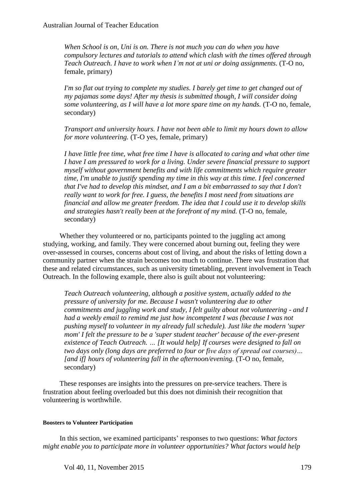*When School is on, Uni is on. There is not much you can do when you have compulsory lectures and tutorials to attend which clash with the times offered through Teach Outreach. I have to work when I'm not at uni or doing assignments.* (T-O no, female, primary)

*I'm so flat out trying to complete my studies. I barely get time to get changed out of my pajamas some days! After my thesis is submitted though, I will consider doing some volunteering, as I will have a lot more spare time on my hands.* (T-O no, female, secondary)

*Transport and university hours. I have not been able to limit my hours down to allow for more volunteering.* (T-O yes, female, primary)

*I have little free time, what free time I have is allocated to caring and what other time I have I am pressured to work for a living. Under severe financial pressure to support myself without government benefits and with life commitments which require greater time, I'm unable to justify spending my time in this way at this time. I feel concerned that I've had to develop this mindset, and I am a bit embarrassed to say that I don't really want to work for free. I guess, the benefits I most need from situations are financial and allow me greater freedom. The idea that I could use it to develop skills and strategies hasn't really been at the forefront of my mind.* (T-O no, female, secondary)

Whether they volunteered or no, participants pointed to the juggling act among studying, working, and family. They were concerned about burning out, feeling they were over-assessed in courses, concerns about cost of living, and about the risks of letting down a community partner when the strain becomes too much to continue. There was frustration that these and related circumstances, such as university timetabling, prevent involvement in Teach Outreach. In the following example, there also is guilt about not volunteering:

*Teach Outreach volunteering, although a positive system, actually added to the pressure of university for me. Because I wasn't volunteering due to other commitments and juggling work and study, I felt guilty about not volunteering - and I had a weekly email to remind me just how incompetent I was (because I was not pushing myself to volunteer in my already full schedule). Just like the modern 'super mom' I felt the pressure to be a 'super student teacher' because of the ever-present existence of Teach Outreach. … [It would help] If courses were designed to fall on two days only (long days are preferred to four or five days of spread out courses)…*  [and if] hours of volunteering fall in the afternoon/evening. (T-O no, female, secondary)

These responses are insights into the pressures on pre-service teachers. There is frustration about feeling overloaded but this does not diminish their recognition that volunteering is worthwhile.

#### **Boosters to Volunteer Participation**

In this section, we examined participants' responses to two questions: *What factors might enable you to participate more in volunteer opportunities? What factors would help*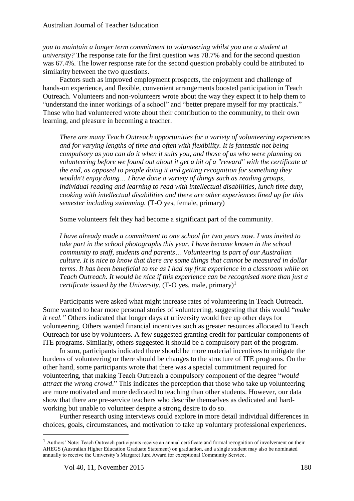*you to maintain a longer term commitment to volunteering whilst you are a student at university?* The response rate for the first question was 78.7% and for the second question was 67.4%. The lower response rate for the second question probably could be attributed to similarity between the two questions.

Factors such as improved employment prospects, the enjoyment and challenge of hands-on experience, and flexible, convenient arrangements boosted participation in Teach Outreach. Volunteers and non-volunteers wrote about the way they expect it to help them to "understand the inner workings of a school" and "better prepare myself for my practicals." Those who had volunteered wrote about their contribution to the community, to their own learning, and pleasure in becoming a teacher.

*There are many Teach Outreach opportunities for a variety of volunteering experiences and for varying lengths of time and often with flexibility. It is fantastic not being compulsory as you can do it when it suits you, and those of us who were planning on volunteering before we found out about it get a bit of a "reward" with the certificate at the end, as opposed to people doing it and getting recognition for something they wouldn't enjoy doing… I have done a variety of things such as reading groups, individual reading and learning to read with intellectual disabilities, lunch time duty, cooking with intellectual disabilities and there are other experiences lined up for this semester including swimming.* (T-O yes, female, primary)

Some volunteers felt they had become a significant part of the community.

*I have already made a commitment to one school for two years now. I was invited to take part in the school photographs this year. I have become known in the school community to staff, students and parents… Volunteering is part of our Australian culture. It is nice to know that there are some things that cannot be measured in dollar terms. It has been beneficial to me as I had my first experience in a classroom while on Teach Outreach. It would be nice if this experience can be recognised more than just a certificate issued by the University.*  $(T-O$  yes, male, primary)<sup>1</sup>

Participants were asked what might increase rates of volunteering in Teach Outreach. Some wanted to hear more personal stories of volunteering, suggesting that this would "*make it real."* Others indicated that longer days at university would free up other days for volunteering. Others wanted financial incentives such as greater resources allocated to Teach Outreach for use by volunteers. A few suggested granting credit for particular components of ITE programs. Similarly, others suggested it should be a compulsory part of the program.

In sum, participants indicated there should be more material incentives to mitigate the burdens of volunteering or there should be changes to the structure of ITE programs. On the other hand, some participants wrote that there was a special commitment required for volunteering, that making Teach Outreach a compulsory component of the degree "*would attract the wrong crowd*." This indicates the perception that those who take up volunteering are more motivated and more dedicated to teaching than other students. However, our data show that there are pre-service teachers who describe themselves as dedicated and hardworking but unable to volunteer despite a strong desire to do so.

Further research using interviews could explore in more detail individual differences in choices, goals, circumstances, and motivation to take up voluntary professional experiences.

 $\overline{\phantom{a}}$ 

<sup>1</sup> Authors' Note: Teach Outreach participants receive an annual certificate and formal recognition of involvement on their AHEGS (Australian Higher Education Graduate Statement) on graduation, and a single student may also be nominated annually to receive the University's Margaret Jurd Award for exceptional Community Service.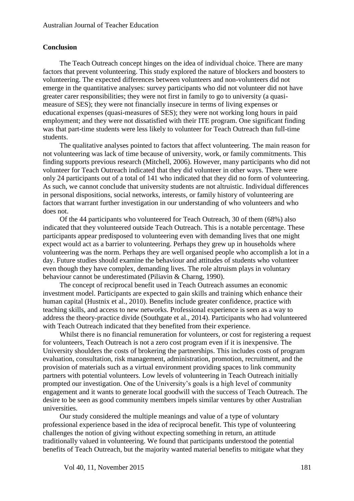#### **Conclusion**

The Teach Outreach concept hinges on the idea of individual choice. There are many factors that prevent volunteering. This study explored the nature of blockers and boosters to volunteering. The expected differences between volunteers and non-volunteers did not emerge in the quantitative analyses: survey participants who did not volunteer did not have greater carer responsibilities; they were not first in family to go to university (a quasimeasure of SES); they were not financially insecure in terms of living expenses or educational expenses (quasi-measures of SES); they were not working long hours in paid employment; and they were not dissatisfied with their ITE program. One significant finding was that part-time students were less likely to volunteer for Teach Outreach than full-time students.

The qualitative analyses pointed to factors that affect volunteering. The main reason for not volunteering was lack of time because of university, work, or family commitments. This finding supports previous research (Mitchell, 2006). However, many participants who did not volunteer for Teach Outreach indicated that they did volunteer in other ways. There were only 24 participants out of a total of 141 who indicated that they did no form of volunteering. As such, we cannot conclude that university students are not altruistic. Individual differences in personal dispositions, social networks, interests, or family history of volunteering are factors that warrant further investigation in our understanding of who volunteers and who does not.

Of the 44 participants who volunteered for Teach Outreach, 30 of them (68%) also indicated that they volunteered outside Teach Outreach. This is a notable percentage. These participants appear predisposed to volunteering even with demanding lives that one might expect would act as a barrier to volunteering. Perhaps they grew up in households where volunteering was the norm. Perhaps they are well organised people who accomplish a lot in a day. Future studies should examine the behaviour and attitudes of students who volunteer even though they have complex, demanding lives. The role altruism plays in voluntary behaviour cannot be underestimated [\(Piliavin & Charng, 1990\)](#page-15-14).

The concept of reciprocal benefit used in Teach Outreach assumes an economic investment model. Participants are expected to gain skills and training which enhance their human capital (Hustnix et al., 2010). Benefits include greater confidence, practice with teaching skills, and access to new networks. Professional experience is seen as a way to address the theory-practice divide (Southgate et al., 2014). Participants who had volunteered with Teach Outreach indicated that they benefited from their experience.

Whilst there is no financial remuneration for volunteers, or cost for registering a request for volunteers, Teach Outreach is not a zero cost program even if it is inexpensive. The University shoulders the costs of brokering the partnerships. This includes costs of program evaluation, consultation, risk management, administration, promotion, recruitment, and the provision of materials such as a virtual environment providing spaces to link community partners with potential volunteers. Low levels of volunteering in Teach Outreach initially prompted our investigation. One of the University's goals is a high level of community engagement and it wants to generate local goodwill with the success of Teach Outreach. The desire to be seen as good community members impels similar ventures by other Australian universities.

Our study considered the multiple meanings and value of a type of voluntary professional experience based in the idea of reciprocal benefit. This type of volunteering challenges the notion of giving without expecting something in return, an attitude traditionally valued in volunteering. We found that participants understood the potential benefits of Teach Outreach, but the majority wanted material benefits to mitigate what they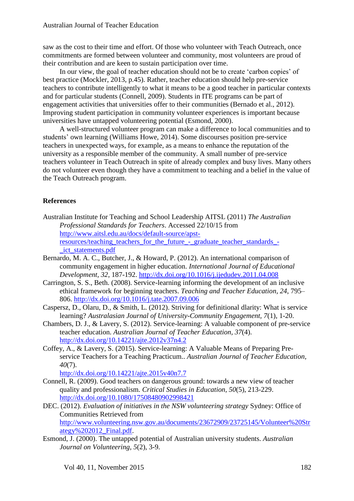saw as the cost to their time and effort. Of those who volunteer with Teach Outreach, once commitments are formed between volunteer and community, most volunteers are proud of their contribution and are keen to sustain participation over time.

In our view, the goal of teacher education should not be to create 'carbon copies' of best practice [\(Mockler, 2013, p.45\)](#page-15-12). Rather, teacher education should help pre-service teachers to contribute intelligently to what it means to be a good teacher in particular contexts and for particular students (Connell, 2009). Students in ITE programs can be part of engagement activities that universities offer to their communities (Bernado et al., 2012). Improving student participation in community volunteer experiences is important because universities have untapped volunteering potential (Esmond, 2000).

A well-structured volunteer program can make a difference to local communities and to students' own learning (Williams Howe, 2014). Some discourses position pre-service teachers in unexpected ways, for example, as a means to enhance the reputation of the university as a responsible member of the community. A small number of pre-service teachers volunteer in Teach Outreach in spite of already complex and busy lives. Many others do not volunteer even though they have a commitment to teaching and a belief in the value of the Teach Outreach program.

## **References**

- Australian Institute for Teaching and School Leadership AITSL (2011) *The Australian Professional Standards for Teachers*. Accessed 22/10/15 from [http://www.aitsl.edu.au/docs/default-source/apst](http://www.aitsl.edu.au/docs/default-source/apst-resources/teaching_teachers_for_the_future_-_graduate_teacher_standards_-_ict_statements.pdf)[resources/teaching\\_teachers\\_for\\_the\\_future\\_-\\_graduate\\_teacher\\_standards\\_-](http://www.aitsl.edu.au/docs/default-source/apst-resources/teaching_teachers_for_the_future_-_graduate_teacher_standards_-_ict_statements.pdf) [\\_ict\\_statements.pdf](http://www.aitsl.edu.au/docs/default-source/apst-resources/teaching_teachers_for_the_future_-_graduate_teacher_standards_-_ict_statements.pdf)
- <span id="page-14-0"></span>Bernardo, M. A. C., Butcher, J., & Howard, P. (2012). An international comparison of community engagement in higher education. *International Journal of Educational Development, 32*, 187-192.<http://dx.doi.org/10.1016/j.ijedudev.2011.04.008>
- <span id="page-14-2"></span>Carrington, S. S., Beth. (2008). Service-learning informing the development of an inclusive ethical framework for beginning teachers. *Teaching and Teacher Education, 24*, 795– 806. <http://dx.doi.org/10.1016/j.tate.2007.09.006>
- <span id="page-14-1"></span>Caspersz, D., Olaru, D., & Smith, L. (2012). Striving for definitional dlarity: What is service learning? *Australasian Journal of University-Community Engagement, 7*(1), 1-20.
- <span id="page-14-3"></span>Chambers, D. J., & Lavery, S. (2012). Service-learning: A valuable component of pre-service teacher education. *Australian Journal of Teacher Education, 37*(4). <http://dx.doi.org/10.14221/ajte.2012v37n4.2>
- <span id="page-14-6"></span>Coffey, A., & Lavery, S. (2015). Service-learning: A Valuable Means of Preparing Preservice Teachers for a Teaching Practicum.. *Australian Journal of Teacher Education, 40*(7).

<http://dx.doi.org/10.14221/ajte.2015v40n7.7>

- Connell, R. (2009). Good teachers on dangerous ground: towards a new view of teacher quality and professionalism. *Critical Studies in Education, 50*(5), 213-229. <http://dx.doi.org/10.1080/17508480902998421>
- <span id="page-14-4"></span>DEC. (2012). *Evaluation of initiatives in the NSW volunteering strategy* Sydney: Office of Communities Retrieved from [http://www.volunteering.nsw.gov.au/documents/23672909/23725145/Volunteer%20Str](http://www.volunteering.nsw.gov.au/documents/23672909/23725145/Volunteer%20Strategy%202012_Final.pdf) [ategy%202012\\_Final.pdf.](http://www.volunteering.nsw.gov.au/documents/23672909/23725145/Volunteer%20Strategy%202012_Final.pdf)
- <span id="page-14-5"></span>Esmond, J. (2000). The untapped potential of Australian university students. *Australian Journal on Volunteering, 5*(2), 3-9.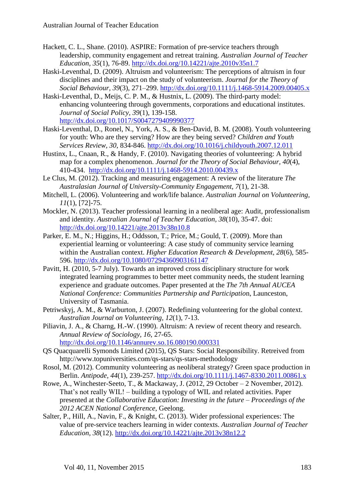- <span id="page-15-2"></span>Hackett, C. L., Shane. (2010). ASPIRE: Formation of pre-service teachers through leadership, community engagement and retreat training. *Australian Journal of Teacher Education, 35*(1), 76-89. <http://dx.doi.org/10.14221/ajte.2010v35n1.7>
- <span id="page-15-6"></span>Haski-Leventhal, D. (2009). Altruism and volunteerism: The perceptions of altruism in four disciplines and their impact on the study of volunteerism. *Journal for the Theory of Social Behaviour, 39*(3), 271–299.<http://dx.doi.org/10.1111/j.1468-5914.2009.00405.x>
- <span id="page-15-10"></span>Haski-Leventhal, D., Meijs, C. P. M., & Hustnix, L. (2009). The third-party model: enhancing volunteering through governments, corporations and educational institutes. *Journal of Social Policy, 39*(1), 139-158. <http://dx.doi.org/10.1017/S0047279409990377>
- <span id="page-15-5"></span>Haski-Leventhal, D., Ronel, N., York, A. S., & Ben-David, B. M. (2008). Youth volunteering for youth: Who are they serving? How are they being served? *Children and Youth Services Review, 30*, 834-846.<http://dx.doi.org/10.1016/j.childyouth.2007.12.011>
- <span id="page-15-8"></span>Hustinx, L., Cnaan, R., & Handy, F. (2010). Navigating theories of volunteering: A hybrid map for a complex phenomenon. *Journal for the Theory of Social Behaviour, 40*(4), 410-434. <http://dx.doi.org/10.1111/j.1468-5914.2010.00439.x>
- <span id="page-15-1"></span>Le Clus, M. (2012). Tracking and measuring engagement: A review of the literature *The Australasian Journal of University-Community Engagement, 7*(1), 21-38.
- <span id="page-15-11"></span>Mitchell, L. (2006). Volunteering and work/life balance. *Australian Journal on Volunteering, 11*(1), [72]-75.
- <span id="page-15-12"></span>Mockler, N. (2013). Teacher professional learning in a neoliberal age: Audit, professionalism and identity. *Australian Journal of Teacher Education, 38*(10), 35-47. doi: <http://dx.doi.org/10.14221/ajte.2013v38n10.8>
- <span id="page-15-3"></span>Parker, E. M., N.; Higgins, H.; Oddsson, T.; Price, M.; Gould, T. (2009). More than experiential learning or volunteering: A case study of community service learning within the Australian context. *Higher Education Research & Development, 28*(6), 585- 596. <http://dx.doi.org/10.1080/07294360903161147>
- <span id="page-15-4"></span>Pavitt, H. (2010, 5-7 July). Towards an improved cross disciplinary structure for work integrated learning programmes to better meet community needs, the student learning experience and graduate outcomes. Paper presented at the *The 7th Annual AUCEA National Conference: Communities Partnership and Participatio*n, Launceston, University of Tasmania.
- <span id="page-15-9"></span>Petriwskyj, A. M., & Warburton, J. (2007). Redefining volunteering for the global context. *Australian Journal on Volunteering, 12*(1), 7-13.
- <span id="page-15-14"></span>Piliavin, J. A., & Charng, H.-W. (1990). Altruism: A review of recent theory and research. *Annual Review of Sociology, 16*, 27-65. <http://dx.doi.org/10.1146/annurev.so.16.080190.000331>
- <span id="page-15-7"></span>QS Quacquarelli Symonds Limited (2015), QS Stars: Social Responsibility. Retreived from http://www.topuniversities.com/qs-stars/qs-stars-methodology
- Rosol, M. (2012). Community volunteering as neoliberal strategy? Green space production in Berlin. *Antipode, 44*(1), 239-257. <http://dx.doi.org/10.1111/j.1467-8330.2011.00861.x>
- <span id="page-15-13"></span>Rowe, A., Winchester-Seeto, T., & Mackaway, J. (2012, 29 October – 2 November, 2012). That's not really WIL! – building a typology of WIL and related activities*.* Paper presented at the *Collaborative Education: Investing in the future – Proceedings of the 2012 ACEN National Conference*, Geelong.
- <span id="page-15-0"></span>Salter, P., Hill, A., Navin, F., & Knight, C. (2013). Wider professional experiences: The value of pre-service teachers learning in wider contexts. *Australian Journal of Teacher Education, 38*(12).<http://dx.doi.org/10.14221/ajte.2013v38n12.2>